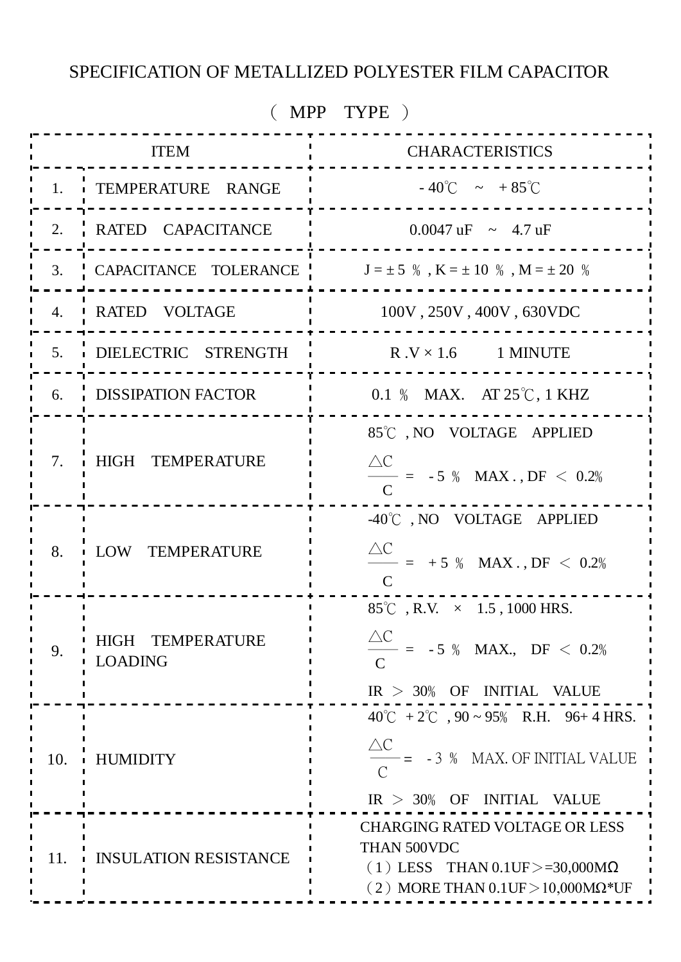### SPECIFICATION OF METALLIZED POLYESTER FILM CAPACITOR

| $(MPP$ TYPE) |                                    |                                                                                                                                                        |  |  |  |  |  |  |  |
|--------------|------------------------------------|--------------------------------------------------------------------------------------------------------------------------------------------------------|--|--|--|--|--|--|--|
|              | <b>ITEM</b>                        | <b>CHARACTERISTICS</b>                                                                                                                                 |  |  |  |  |  |  |  |
|              | 1. TEMPERATURE RANGE               | $-40^{\circ}$ C $\sim +85^{\circ}$ C                                                                                                                   |  |  |  |  |  |  |  |
|              | 2. RATED CAPACITANCE               | $0.0047 \text{ uF} \sim 4.7 \text{ uF}$                                                                                                                |  |  |  |  |  |  |  |
| 3.           | CAPACITANCE TOLERANCE              | $J=\pm$ 5 $\%$ , K $=\pm$ 10 $\%$ , M $=\pm$ 20 $\%$                                                                                                   |  |  |  |  |  |  |  |
| 4.           | <b>ARTED VOLTAGE</b>               | 100V, 250V, 400V, 630VDC                                                                                                                               |  |  |  |  |  |  |  |
|              | 5. DIELECTRIC STRENGTH             | $R.V \times 1.6$ 1 MINUTE                                                                                                                              |  |  |  |  |  |  |  |
|              | 6. DISSIPATION FACTOR              | 0.1 % MAX. AT 25°C, 1 KHZ                                                                                                                              |  |  |  |  |  |  |  |
| 7.           | HIGH TEMPERATURE                   | 85°C, NO VOLTAGE APPLIED<br>$\triangle C$<br>$-$ = -5 % MAX., DF < 0.2%                                                                                |  |  |  |  |  |  |  |
| 8.           | LOW TEMPERATURE                    | -40°C, NO VOLTAGE APPLIED<br>$\triangle C$<br>$-$ = +5 % MAX., DF < 0.2%                                                                               |  |  |  |  |  |  |  |
| 9.           | HIGH TEMPERATURE<br><b>LOADING</b> | 85°C, R.V. $\times$ 1.5, 1000 HRS.<br>$\triangle C$<br>$- = -5 \%$ MAX., DF $< 0.2%$<br>$IR > 30\%$ OF INITIAL VALUE                                   |  |  |  |  |  |  |  |
| 10.          | <b>HUMIDITY</b>                    | $40^{\circ}$ C + 2 <sup>°</sup> C , 90 ~ 95% R.H. 96+ 4 HRS.<br>$\triangle C$<br>$-$ = $-3$ % MAX. OF INITIAL VALUE<br>$IR > 30\%$ OF INITIAL VALUE    |  |  |  |  |  |  |  |
| 11.          | <b>INSULATION RESISTANCE</b>       | <b>CHARGING RATED VOLTAGE OR LESS</b><br>THAN 500VDC<br>$(1)$ LESS THAN 0.1UF $>=$ 30,000M $\Omega$<br>(2) MORE THAN $0.1$ UF $>$ 10,000M $\Omega$ *UF |  |  |  |  |  |  |  |
|              |                                    |                                                                                                                                                        |  |  |  |  |  |  |  |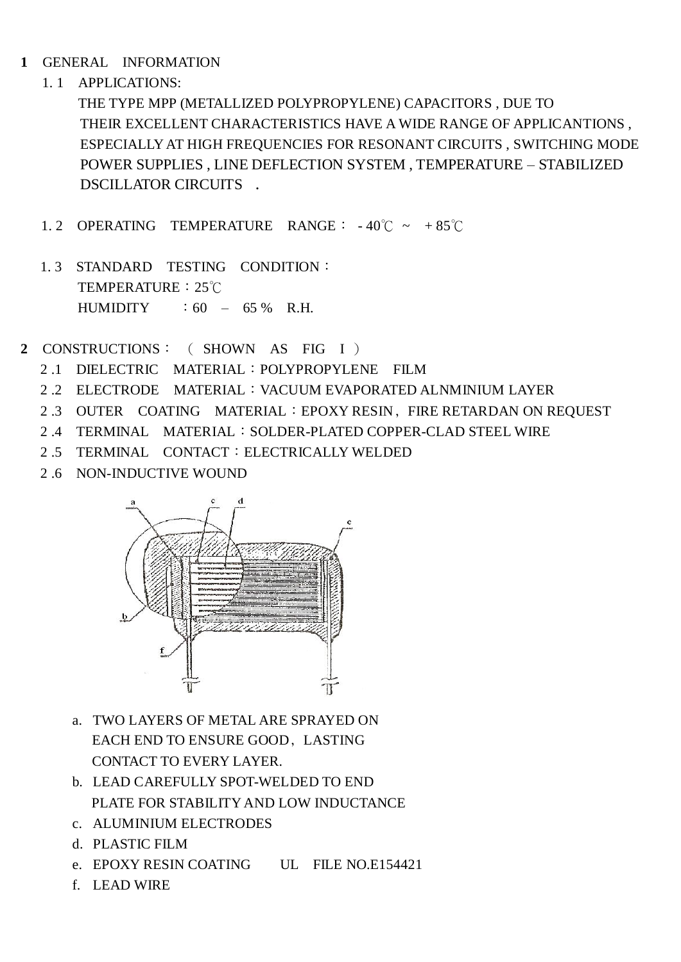- **1** GENERAL INFORMATION
	- 1. 1 APPLICATIONS:

 THE TYPE MPP (METALLIZED POLYPROPYLENE) CAPACITORS , DUE TO THEIR EXCELLENT CHARACTERISTICS HAVE A WIDE RANGE OF APPLICANTIONS , ESPECIALLY AT HIGH FREQUENCIES FOR RESONANT CIRCUITS , SWITCHING MODE POWER SUPPLIES , LINE DEFLECTION SYSTEM , TEMPERATURE – STABILIZED DSCILLATOR CIRCUITS .

- 1. 2 OPERATING TEMPERATURE RANGE: 40℃ ~ + 85℃
- 1. 3 STANDARD TESTING CONDITION: TEMPERATURE:25℃  $HUMIDITY$  : 60 – 65 % R.H.
- **2** CONSTRUCTIONS: ( SHOWN AS FIG I )
	- 2 .1 DIELECTRIC MATERIAL:POLYPROPYLENE FILM
	- 2 .2 ELECTRODE MATERIAL:VACUUM EVAPORATED ALNMINIUM LAYER
	- 2.3 OUTER COATING MATERIAL: EPOXY RESIN, FIRE RETARDAN ON REQUEST
	- 2 .4 TERMINAL MATERIAL:SOLDER-PLATED COPPER-CLAD STEEL WIRE
	- 2 .5 TERMINAL CONTACT:ELECTRICALLY WELDED
	- 2 .6 NON-INDUCTIVE WOUND



- a. TWO LAYERS OF METAL ARE SPRAYED ON EACH END TO ENSURE GOOD, LASTING CONTACT TO EVERY LAYER.
- b. LEAD CAREFULLY SPOT-WELDED TO END PLATE FOR STABILITY AND LOW INDUCTANCE
- c. ALUMINIUM ELECTRODES
- d. PLASTIC FILM
- e. EPOXY RESIN COATING UL FILE NO.E154421
- f. LEAD WIRE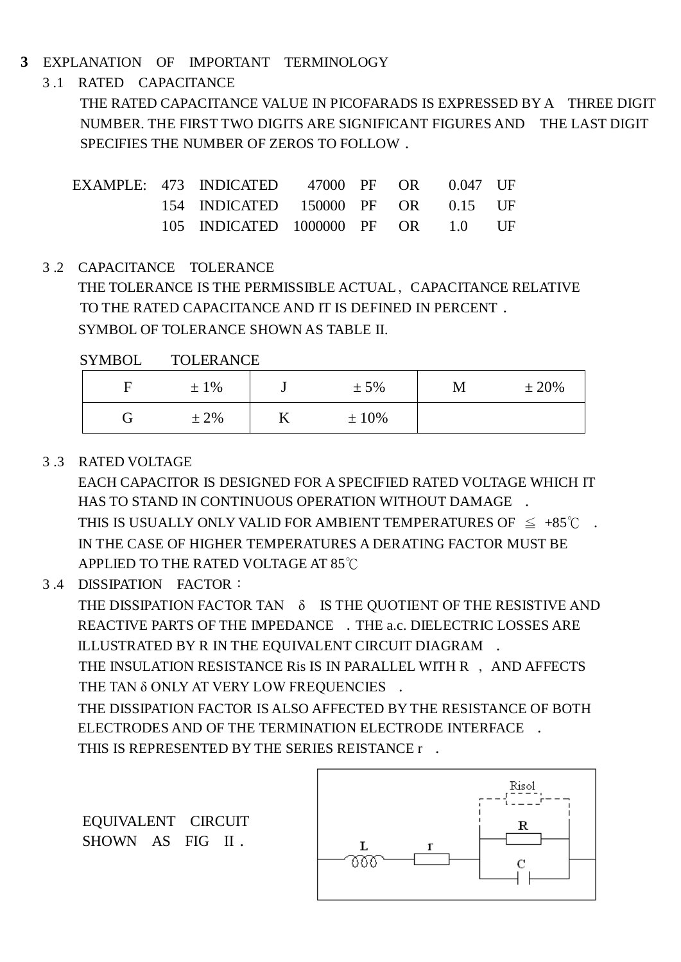#### **3** EXPLANATION OF IMPORTANT TERMINOLOGY

3 .1 RATED CAPACITANCE

THE RATED CAPACITANCE VALUE IN PICOFARADS IS EXPRESSED BY A THREE DIGIT NUMBER. THE FIRST TWO DIGITS ARE SIGNIFICANT FIGURES AND THE LAST DIGIT SPECIFIES THE NUMBER OF ZEROS TO FOLLOW.

|  | EXAMPLE: 473 INDICATED 47000 PF OR 0.047 UF |  |  |  |
|--|---------------------------------------------|--|--|--|
|  | 154 INDICATED 150000 PF OR 0.15 UF          |  |  |  |
|  | 105 INDICATED 1000000 PF OR 1.0 UF          |  |  |  |

3 .2 CAPACITANCE TOLERANCE

 THE TOLERANCE IS THE PERMISSIBLE ACTUAL﹐CAPACITANCE RELATIVE TO THE RATED CAPACITANCE AND IT IS DEFINED IN PERCENT. SYMBOL OF TOLERANCE SHOWN AS TABLE II.

SYMBOL TOLERANCE

| н | $±1\%$  |    | $± 5\%$ | M | ± 20% |
|---|---------|----|---------|---|-------|
|   | $± 2\%$ | 17 | $±10\%$ |   |       |

#### 3 .3 RATED VOLTAGE

 EACH CAPACITOR IS DESIGNED FOR A SPECIFIED RATED VOLTAGE WHICH IT HAS TO STAND IN CONTINUOUS OPERATION WITHOUT DAMAGE . THIS IS USUALLY ONLY VALID FOR AMBIENT TEMPERATURES OF  $\leq +85^{\circ}$   $\sim$ . IN THE CASE OF HIGHER TEMPERATURES A DERATING FACTOR MUST BE APPLIED TO THE RATED VOLTAGE AT 85℃

3 .4 DISSIPATION FACTOR:

 THE DISSIPATION FACTOR TAN δ IS THE QUOTIENT OF THE RESISTIVE AND REACTIVE PARTS OF THE IMPEDANCE . THE a.c. DIELECTRIC LOSSES ARE ILLUSTRATED BY R IN THE EQUIVALENT CIRCUIT DIAGRAM .

THE INSULATION RESISTANCE Ris IS IN PARALLEL WITH R , AND AFFECTS THE TAN δ ONLY AT VERY LOW FREQUENCIES.

 THE DISSIPATION FACTOR IS ALSO AFFECTED BY THE RESISTANCE OF BOTH ELECTRODES AND OF THE TERMINATION ELECTRODE INTERFACE ﹒ THIS IS REPRESENTED BY THE SERIES REISTANCE r .

EQUIVALENT CIRCUIT SHOWN AS FIG II.

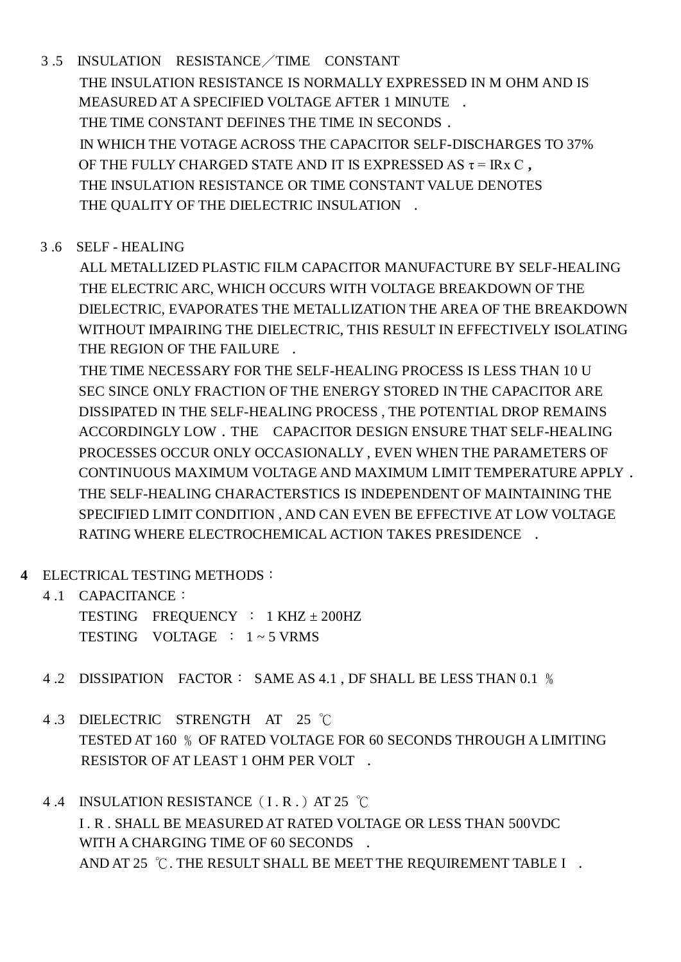- 3 .5 INSULATION RESISTANCE/TIME CONSTANT THE INSULATION RESISTANCE IS NORMALLY EXPRESSED IN M OHM AND IS MEASURED AT A SPECIFIED VOLTAGE AFTER 1 MINUTE . THE TIME CONSTANT DEFINES THE TIME IN SECONDS. IN WHICH THE VOTAGE ACROSS THE CAPACITOR SELF-DISCHARGES TO 37% OF THE FULLY CHARGED STATE AND IT IS EXPRESSED AS  $\tau$  = IRx C. THE INSULATION RESISTANCE OR TIME CONSTANT VALUE DENOTES THE QUALITY OF THE DIELECTRIC INSULATION.
- 3 .6 SELF HEALING

 ALL METALLIZED PLASTIC FILM CAPACITOR MANUFACTURE BY SELF-HEALING THE ELECTRIC ARC, WHICH OCCURS WITH VOLTAGE BREAKDOWN OF THE DIELECTRIC, EVAPORATES THE METALLIZATION THE AREA OF THE BREAKDOWN WITHOUT IMPAIRING THE DIELECTRIC, THIS RESULT IN EFFECTIVELY ISOLATING THE REGION OF THE FAILURE.

 THE TIME NECESSARY FOR THE SELF-HEALING PROCESS IS LESS THAN 10 U SEC SINCE ONLY FRACTION OF THE ENERGY STORED IN THE CAPACITOR ARE DISSIPATED IN THE SELF-HEALING PROCESS , THE POTENTIAL DROP REMAINS ACCORDINGLY LOW . THE CAPACITOR DESIGN ENSURE THAT SELF-HEALING PROCESSES OCCUR ONLY OCCASIONALLY , EVEN WHEN THE PARAMETERS OF CONTINUOUS MAXIMUM VOLTAGE AND MAXIMUM LIMIT TEMPERATURE APPLY. THE SELF-HEALING CHARACTERSTICS IS INDEPENDENT OF MAINTAINING THE SPECIFIED LIMIT CONDITION , AND CAN EVEN BE EFFECTIVE AT LOW VOLTAGE RATING WHERE ELECTROCHEMICAL ACTION TAKES PRESIDENCE ﹒

- **4** ELECTRICAL TESTING METHODS:
	- 4 .1 CAPACITANCE:

 TESTING FREQUENCY : 1 KHZ ± 200HZ TESTING VOLTAGE :  $1 \approx 5$  VRMS

- 4 .2 DISSIPATION FACTOR: SAME AS 4.1 , DF SHALL BE LESS THAN 0.1 ﹪
- 4 .3 DIELECTRIC STRENGTH AT 25 ℃ TESTED AT 160 % OF RATED VOLTAGE FOR 60 SECONDS THROUGH A LIMITING RESISTOR OF AT LEAST 1 OHM PER VOLT.
- 4.4 INSULATION RESISTANCE (I.R.) AT 25 ℃ I . R . SHALL BE MEASURED AT RATED VOLTAGE OR LESS THAN 500VDC WITH A CHARGING TIME OF 60 SECONDS . AND AT 25  $\degree$ C. THE RESULT SHALL BE MEET THE REQUIREMENT TABLE I.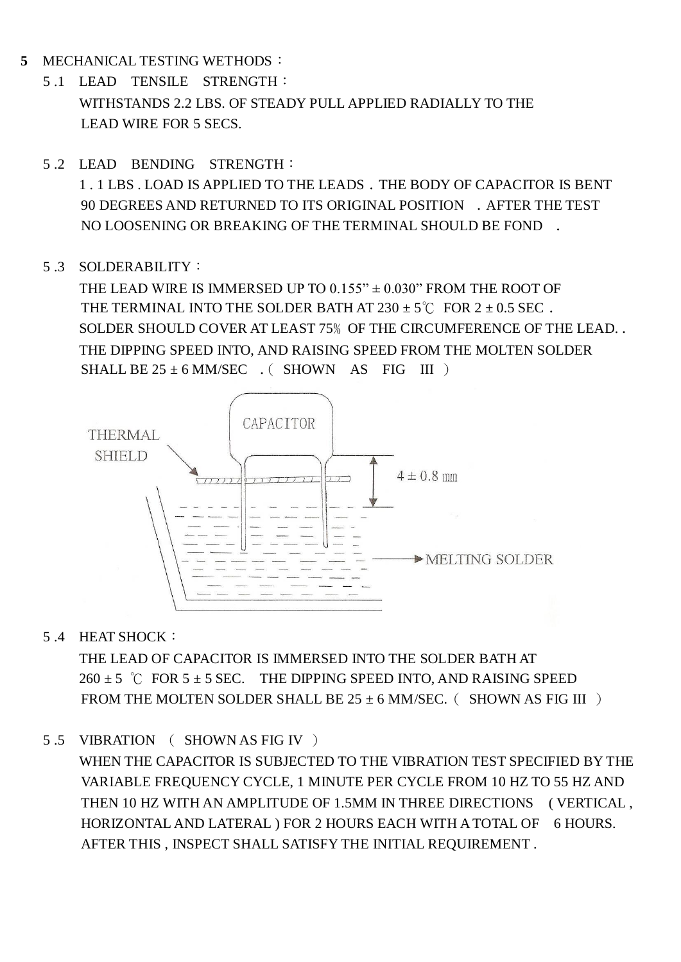- **5** MECHANICAL TESTING WETHODS:
	- 5 .1 LEAD TENSILE STRENGTH: WITHSTANDS 2.2 LBS. OF STEADY PULL APPLIED RADIALLY TO THE LEAD WIRE FOR 5 SECS.
	- 5 .2 LEAD BENDING STRENGTH:

 1 . 1 LBS . LOAD IS APPLIED TO THE LEADS﹒THE BODY OF CAPACITOR IS BENT 90 DEGREES AND RETURNED TO ITS ORIGINAL POSITION ﹒AFTER THE TEST NO LOOSENING OR BREAKING OF THE TERMINAL SHOULD BE FOND ﹒

#### 5 .3 SOLDERABILITY:

THE LEAD WIRE IS IMMERSED UP TO  $0.155" \pm 0.030"$  FROM THE ROOT OF THE TERMINAL INTO THE SOLDER BATH AT  $230 \pm 5^{\circ}$ C FOR  $2 \pm 0.5$  SEC. SOLDER SHOULD COVER AT LEAST 75% OF THE CIRCUMFERENCE OF THE LEAD.. THE DIPPING SPEED INTO, AND RAISING SPEED FROM THE MOLTEN SOLDER SHALL BE  $25 \pm 6$  MM/SEC  $\cdot$  (SHOWN AS FIG III)



5 .4 HEAT SHOCK:

 THE LEAD OF CAPACITOR IS IMMERSED INTO THE SOLDER BATH AT  $260 \pm 5$  °C FOR  $5 \pm 5$  SEC. THE DIPPING SPEED INTO, AND RAISING SPEED FROM THE MOLTEN SOLDER SHALL BE  $25 \pm 6$  MM/SEC. (SHOWN AS FIG III)

5 .5 VIBRATION ( SHOWN AS FIG IV )

 WHEN THE CAPACITOR IS SUBJECTED TO THE VIBRATION TEST SPECIFIED BY THE VARIABLE FREQUENCY CYCLE, 1 MINUTE PER CYCLE FROM 10 HZ TO 55 HZ AND THEN 10 HZ WITH AN AMPLITUDE OF 1.5MM IN THREE DIRECTIONS ( VERTICAL , HORIZONTAL AND LATERAL ) FOR 2 HOURS EACH WITH A TOTAL OF 6 HOURS. AFTER THIS , INSPECT SHALL SATISFY THE INITIAL REQUIREMENT .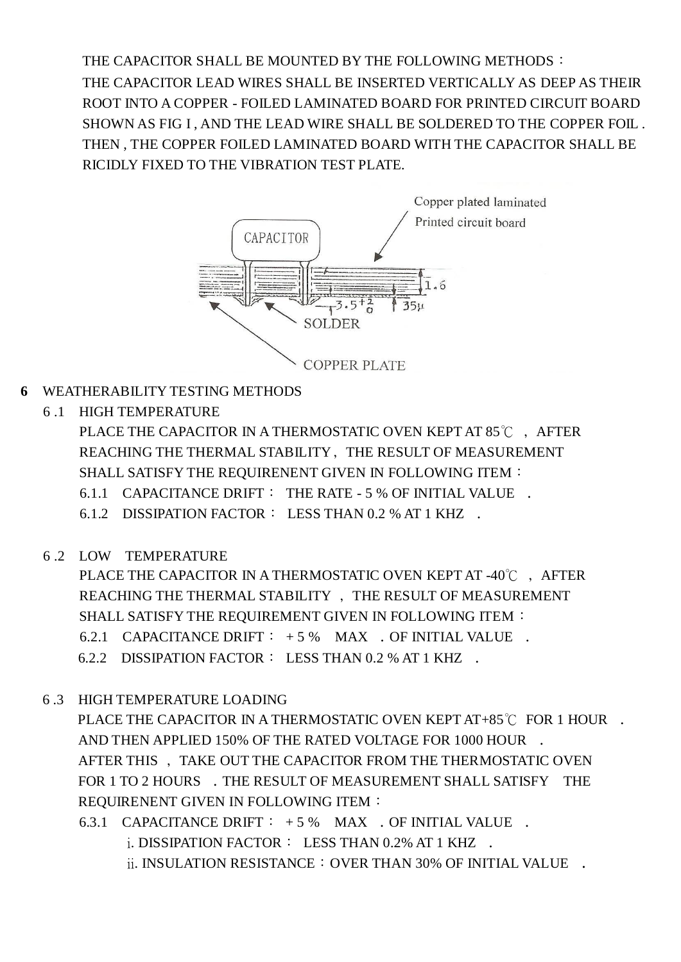THE CAPACITOR SHALL BE MOUNTED BY THE FOLLOWING METHODS: THE CAPACITOR LEAD WIRES SHALL BE INSERTED VERTICALLY AS DEEP AS THEIR ROOT INTO A COPPER - FOILED LAMINATED BOARD FOR PRINTED CIRCUIT BOARD SHOWN AS FIG I , AND THE LEAD WIRE SHALL BE SOLDERED TO THE COPPER FOIL . THEN , THE COPPER FOILED LAMINATED BOARD WITH THE CAPACITOR SHALL BE RICIDLY FIXED TO THE VIBRATION TEST PLATE.



- **6** WEATHERABILITY TESTING METHODS
	- 6 .1 HIGH TEMPERATURE

PLACE THE CAPACITOR IN A THERMOSTATIC OVEN KEPT AT 85℃, AFTER REACHING THE THERMAL STABILITY﹐THE RESULT OF MEASUREMENT SHALL SATISFY THE REQUIRENENT GIVEN IN FOLLOWING ITEM:

- 6.1.1 CAPACITANCE DRIFT: THE RATE 5 % OF INITIAL VALUE.
- 6.1.2 DISSIPATION FACTOR: LESS THAN 0.2 % AT 1 KHZ.
- 6 .2 LOW TEMPERATURE

PLACE THE CAPACITOR IN A THERMOSTATIC OVEN KEPT AT -40℃ ↓ AFTER REACHING THE THERMAL STABILITY ﹐THE RESULT OF MEASUREMENT SHALL SATISFY THE REQUIREMENT GIVEN IN FOLLOWING ITEM:

- 6.2.1 CAPACITANCE DRIFT:  $+5\%$  MAX  $\cdot$  OF INITIAL VALUE  $\cdot$
- 6.2.2 DISSIPATION FACTOR: LESS THAN 0.2 % AT 1 KHZ ﹒
- 6 .3 HIGH TEMPERATURE LOADING

PLACE THE CAPACITOR IN A THERMOSTATIC OVEN KEPT AT+85℃ FOR 1 HOUR **·** AND THEN APPLIED 150% OF THE RATED VOLTAGE FOR 1000 HOUR AFTER THIS ﹐TAKE OUT THE CAPACITOR FROM THE THERMOSTATIC OVEN FOR 1 TO 2 HOURS . THE RESULT OF MEASUREMENT SHALL SATISFY THE REQUIRENENT GIVEN IN FOLLOWING ITEM:

6.3.1 CAPACITANCE DRIFT:  $+5\%$  MAX . OF INITIAL VALUE . i. DISSIPATION FACTOR: LESS THAN 0.2% AT 1 KHZ. ii. INSULATION RESISTANCE  $:$  OVER THAN 30% OF INITIAL VALUE  $\cdot$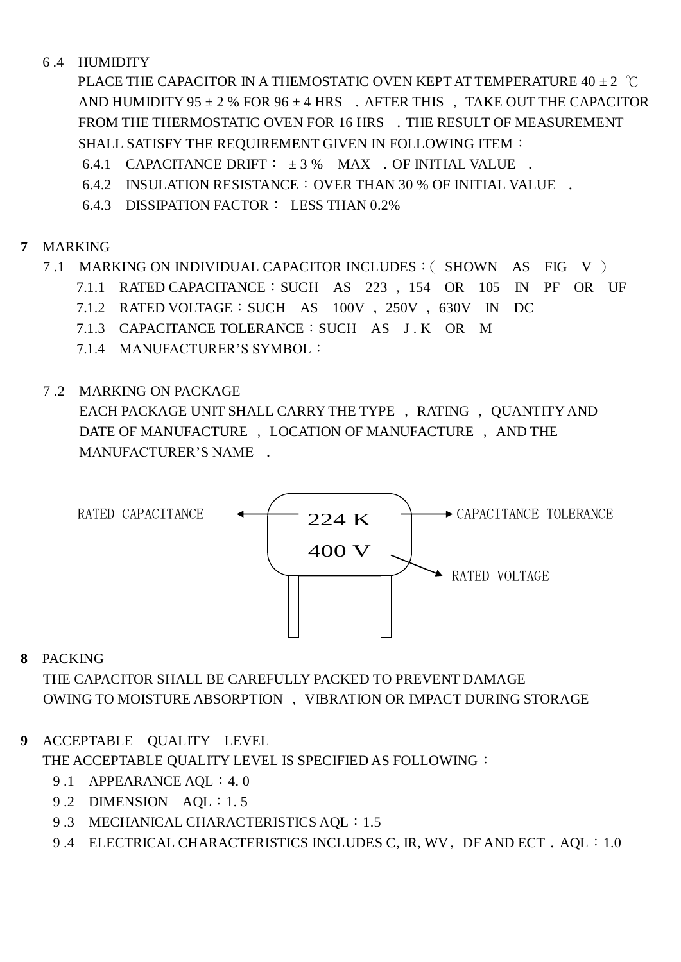#### 6 .4 HUMIDITY

PLACE THE CAPACITOR IN A THEMOSTATIC OVEN KEPT AT TEMPERATURE  $40 \pm 2$  °C AND HUMIDITY 95  $\pm$  2 % FOR 96  $\pm$  4 HRS  $\phantom{1}$ . AFTER THIS  $\phantom{1}$ , TAKE OUT THE CAPACITOR FROM THE THERMOSTATIC OVEN FOR 16 HRS . THE RESULT OF MEASUREMENT SHALL SATISFY THE REQUIREMENT GIVEN IN FOLLOWING ITEM:

- 6.4.1 CAPACITANCE DRIFT:  $\pm 3$  % MAX . OF INITIAL VALUE .
- 6.4.2 INSULATION RESISTANCE: OVER THAN 30 % OF INITIAL VALUE .
- 6.4.3 DISSIPATION FACTOR: LESS THAN 0.2%

#### **7** MARKING

- 7 .1 MARKING ON INDIVIDUAL CAPACITOR INCLUDES:( SHOWN AS FIG V )
	- 7.1.1 RATED CAPACITANCE:SUCH AS 223 ﹐154 OR 105 IN PF OR UF
	- 7.1.2 RATED VOLTAGE:SUCH AS 100V ﹐250V ﹐630V IN DC
	- 7.1.3 CAPACITANCE TOLERANCE:SUCH AS J . K OR M
	- 7.1.4 MANUFACTURER'S SYMBOL:
- 7 .2 MARKING ON PACKAGE

EACH PACKAGE UNIT SHALL CARRY THE TYPE, RATING, QUANTITY AND DATE OF MANUFACTURE ﹐LOCATION OF MANUFACTURE ﹐AND THE MANUFACTURER'S NAME.



#### **8** PACKING

THE CAPACITOR SHALL BE CAREFULLY PACKED TO PREVENT DAMAGE OWING TO MOISTURE ABSORPTION ﹐VIBRATION OR IMPACT DURING STORAGE

#### **9** ACCEPTABLE QUALITY LEVEL

THE ACCEPTABLE OUALITY LEVEL IS SPECIFIED AS FOLLOWING:

- 9.1 APPEARANCE AOL: 4.0
- 9.2 DIMENSION AQL: 1.5
- 9.3 MECHANICAL CHARACTERISTICS AQL: 1.5
- 9.4 ELECTRICAL CHARACTERISTICS INCLUDES C, IR, WV, DF AND ECT. AQL: 1.0